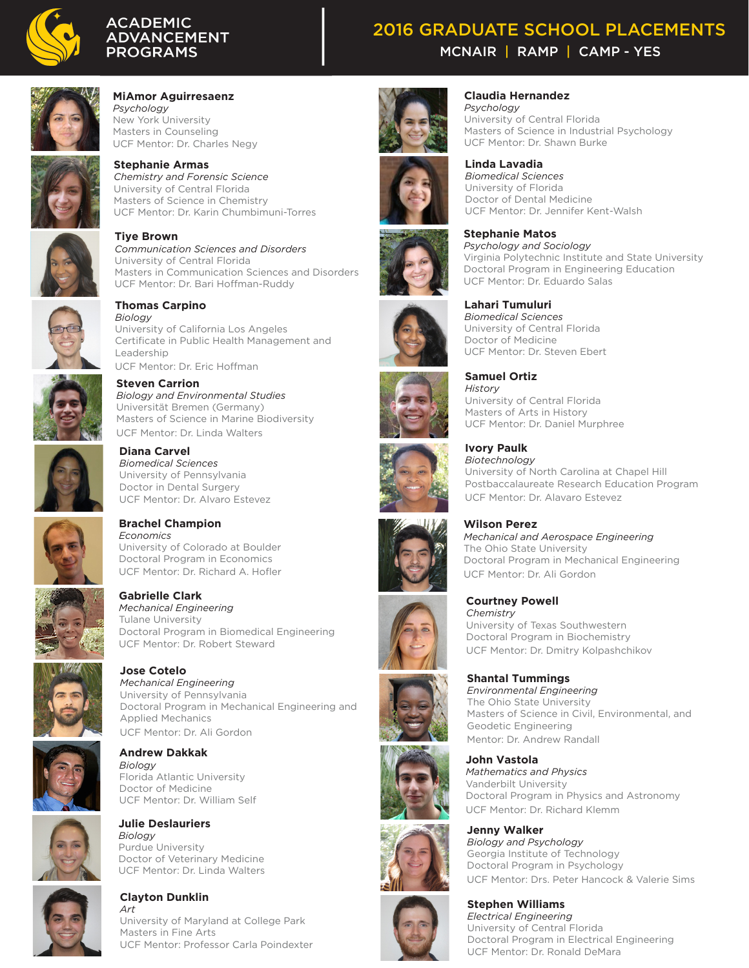

## **ACADEMIC ADVANCEMENT PROGRAMS**

# 2016 GRADUATE SCHOOL PLACEMENTS

MCNAIR | RAMP | CAMP - YES



**MiAmor Aguirresaenz** *Psychology* New York University Masters in Counseling UCF Mentor: Dr. Charles Negy

**Stephanie Armas** *Chemistry and Forensic Science* University of Central Florida Masters of Science in Chemistry UCF Mentor: Dr. Karin Chumbimuni-Torres



**Tiye Brown** *Communication Sciences and Disorders* University of Central Florida Masters in Communication Sciences and Disorders UCF Mentor: Dr. Bari Hoffman-Ruddy



**Thomas Carpino** *Biology*

University of California Los Angeles Certifcate in Public Health Management and Leadership UCF Mentor: Dr. Eric Hoffman



**Steven Carrion** *Biology and Environmental Studies*  Universität Bremen (Germany) Masters of Science in Marine Biodiversity UCF Mentor: Dr. Linda Walters



UCF Mentor: Dr. Alvaro Estevez **Brachel Champion** *Economics* University of Colorado at Boulder Doctoral Program in Economics

UCF Mentor: Dr. Richard A. Hofler

**Gabrielle Clark**

**Diana Carvel** *Biomedical Sciences* University of Pennsylvania Doctor in Dental Surgery



*Mechanical Engineering* Tulane University Doctoral Program in Biomedical Engineering UCF Mentor: Dr. Robert Steward



**Jose Cotelo** *Mechanical Engineering*  University of Pennsylvania Doctoral Program in Mechanical Engineering and Applied Mechanics UCF Mentor: Dr. Ali Gordon



**Andrew Dakkak** *Biology* Florida Atlantic University Doctor of Medicine UCF Mentor: Dr. William Self

**Julie Deslauriers** *Biology* Purdue University Doctor of Veterinary Medicine UCF Mentor: Dr. Linda Walters



#### **Clayton Dunklin** *Art* University of Maryland at College Park Masters in Fine Arts UCF Mentor: Professor Carla Poindexter























**Jenny Walker** *Biology and Psychology* Georgia Institute of Technology Doctoral Program in Psychology UCF Mentor: Drs. Peter Hancock & Valerie Sims

Doctoral Program in Physics and Astronomy

Masters of Science in Civil, Environmental, and



**Stephen Williams** *Electrical Engineering* University of Central Florida Doctoral Program in Electrical Engineering UCF Mentor: Dr. Ronald DeMara

## *Psychology* University of Central Florida Masters of Science in Industrial Psychology UCF Mentor: Dr. Shawn Burke **Linda Lavadia**

**Claudia Hernandez**

*Biomedical Sciences* University of Florida Doctor of Dental Medicine UCF Mentor: Dr. Jennifer Kent-Walsh

**Stephanie Matos** *Psychology and Sociology* Virginia Polytechnic Institute and State University Doctoral Program in Engineering Education UCF Mentor: Dr. Eduardo Salas



*History*

**Ivory Paulk** *Biotechnology*

**Wilson Perez**

University of Central Florida Masters of Arts in History UCF Mentor: Dr. Daniel Murphree

University of North Carolina at Chapel Hill Postbaccalaureate Research Education Program

*Mechanical and Aerospace Engineering*

Doctoral Program in Mechanical Engineering

UCF Mentor: Dr. Alavaro Estevez

The Ohio State University

UCF Mentor: Dr. Ali Gordon

University of Texas Southwestern Doctoral Program in Biochemistry UCF Mentor: Dr. Dmitry Kolpashchikov

**Shantal Tummings** *Environmental Engineering* The Ohio State University

**Courtney Powell**

*Chemistry*

Geodetic Engineering Mentor: Dr. Andrew Randall

*Mathematics and Physics* Vanderbilt University

UCF Mentor: Dr. Richard Klemm

**John Vastola**